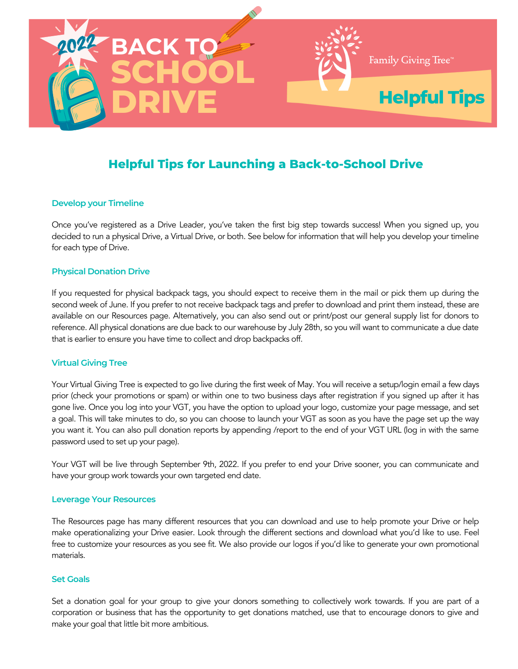<span id="page-0-0"></span>

# **Helpful Tips for Launching a Back-to-School Drive**

### **Develop your Timeline**

Once you've registered as a Drive Leader, you've taken the first big step towards success! When you signed up, you decided to run a physical Drive, a Virtual Drive, or both. See below for information that will help you develop your timeline for each type of Drive.

#### **Physical Donation Drive**

If you requested for physical backpack tags, you should expect to receive them in the mail or pick them up during the second week of June. If you prefer to not receive backpack tags and prefer to download and print them instead, these are available on our Resources page. Alternatively, you can also send out or print/post our general supply list for donors to reference. All physical donations are due back to our warehouse by July 28th, so you will want to communicate a due date that is earlier to ensure you have time to collect and drop backpacks off.

#### **Virtual Giving Tree**

Your Virtual Giving Tree is expected to go live during the first week of May. You will receive a setup/login email a few days prior (check your promotions or spam) or within one to two business days after registration if you signed up after it has gone live. Once you log into your VGT, you have the option to upload your logo, customize your page message, and set a goal. This will take minutes to do, so you can choose to launch your VGT as soon as you have the page set up the way you want it. You can also pull donation reports by appending /report to the end of your VGT URL (log in with the same password used to set up your page).

Your VGT will be live through September 9th, 2022. If you prefer to end your Drive sooner, you can communicate and have your group work towards your own targeted end date.

#### **Leverage Your Resources**

The Resources page has many different resources that you can download and use to help promote your Drive or help make operationalizing your Drive easier. Look through the different sections and download what you'd like to use. Feel free to customize your resources as you see fit. We also provide our logos if you'd like to generate your own promotional materials.

#### **Set Goals**

Set a donation goal for your group to give your donors something to collectively work towards. If you are part of a corporation or business that has the opportunity to get donations matched, use that to encourage donors to give and make your goal that little bit more ambitious.